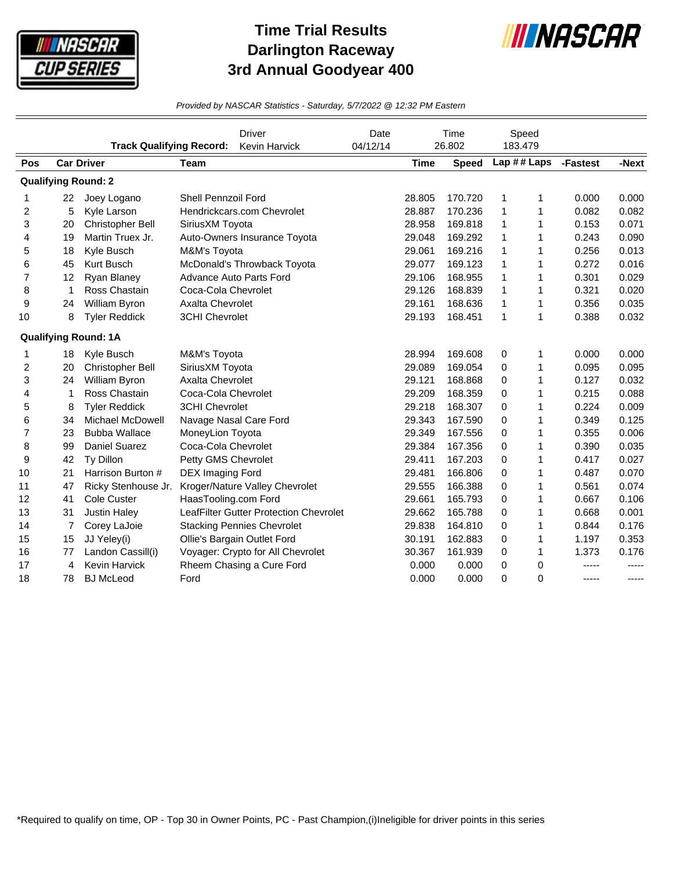

## **Time Trial Results Darlington Raceway 3rd Annual Goodyear 400**



*Provided by NASCAR Statistics - Saturday, 5/7/2022 @ 12:32 PM Eastern*

|                            |                | <b>Track Qualifying Record:</b> |                              | <b>Driver</b><br>Kevin Harvick         | Date<br>04/12/14 |             | Time<br>26.802 | 183.479      | Speed        |          |       |
|----------------------------|----------------|---------------------------------|------------------------------|----------------------------------------|------------------|-------------|----------------|--------------|--------------|----------|-------|
| Pos                        |                | <b>Car Driver</b>               | <b>Team</b>                  |                                        |                  | <b>Time</b> | <b>Speed</b>   | Lap ## Laps  |              | -Fastest | -Next |
| <b>Qualifying Round: 2</b> |                |                                 |                              |                                        |                  |             |                |              |              |          |       |
| 1                          | 22             | Joey Logano                     | Shell Pennzoil Ford          |                                        |                  | 28.805      | 170.720        | 1            | 1            | 0.000    | 0.000 |
| 2                          | 5              | Kyle Larson                     |                              | Hendrickcars.com Chevrolet             |                  | 28.887      | 170.236        | 1            | 1            | 0.082    | 0.082 |
| 3                          | 20             | Christopher Bell                | SiriusXM Toyota              |                                        |                  | 28.958      | 169.818        | 1            | 1            | 0.153    | 0.071 |
| 4                          | 19             | Martin Truex Jr.                | Auto-Owners Insurance Toyota |                                        |                  | 29.048      | 169.292        | 1            | 1            | 0.243    | 0.090 |
| 5                          | 18             | Kyle Busch                      | M&M's Toyota                 |                                        |                  | 29.061      | 169.216        | 1            | 1            | 0.256    | 0.013 |
| 6                          | 45             | Kurt Busch                      | McDonald's Throwback Toyota  |                                        |                  | 29.077      | 169.123        | 1            | $\mathbf{1}$ | 0.272    | 0.016 |
| $\overline{7}$             | 12             | Ryan Blaney                     |                              | Advance Auto Parts Ford                |                  | 29.106      | 168.955        | 1            | 1            | 0.301    | 0.029 |
| 8                          | $\mathbf 1$    | Ross Chastain                   | Coca-Cola Chevrolet          |                                        |                  | 29.126      | 168.839        | $\mathbf{1}$ | 1            | 0.321    | 0.020 |
| 9                          | 24             | William Byron                   | Axalta Chevrolet             |                                        |                  | 29.161      | 168.636        | 1            | 1            | 0.356    | 0.035 |
| 10                         | 8              | <b>Tyler Reddick</b>            | 3CHI Chevrolet               |                                        |                  | 29.193      | 168.451        | $\mathbf{1}$ | $\mathbf{1}$ | 0.388    | 0.032 |
|                            |                | <b>Qualifying Round: 1A</b>     |                              |                                        |                  |             |                |              |              |          |       |
| 1                          | 18             | Kyle Busch                      | M&M's Toyota                 |                                        |                  | 28.994      | 169.608        | 0            | 1            | 0.000    | 0.000 |
| 2                          | 20             | Christopher Bell                | SiriusXM Toyota              |                                        |                  | 29.089      | 169.054        | 0            | 1            | 0.095    | 0.095 |
| 3                          | 24             | William Byron                   | Axalta Chevrolet             |                                        |                  | 29.121      | 168.868        | 0            | 1            | 0.127    | 0.032 |
| 4                          | 1              | Ross Chastain                   | Coca-Cola Chevrolet          |                                        |                  | 29.209      | 168.359        | 0            | 1            | 0.215    | 0.088 |
| 5                          | 8              | <b>Tyler Reddick</b>            | <b>3CHI Chevrolet</b>        |                                        |                  | 29.218      | 168.307        | 0            | 1            | 0.224    | 0.009 |
| 6                          | 34             | Michael McDowell                |                              | Navage Nasal Care Ford                 |                  | 29.343      | 167.590        | 0            | 1            | 0.349    | 0.125 |
| 7                          | 23             | <b>Bubba Wallace</b>            | MoneyLion Toyota             |                                        |                  | 29.349      | 167.556        | 0            | $\mathbf{1}$ | 0.355    | 0.006 |
| 8                          | 99             | Daniel Suarez                   | Coca-Cola Chevrolet          |                                        |                  | 29.384      | 167.356        | 0            | $\mathbf{1}$ | 0.390    | 0.035 |
| 9                          | 42             | Ty Dillon                       | Petty GMS Chevrolet          |                                        |                  | 29.411      | 167.203        | 0            | 1            | 0.417    | 0.027 |
| 10                         | 21             | Harrison Burton #               | <b>DEX Imaging Ford</b>      |                                        |                  | 29.481      | 166.806        | 0            | 1            | 0.487    | 0.070 |
| 11                         | 47             | Ricky Stenhouse Jr.             |                              | Kroger/Nature Valley Chevrolet         |                  | 29.555      | 166.388        | 0            | 1            | 0.561    | 0.074 |
| 12                         | 41             | Cole Custer                     | HaasTooling.com Ford         |                                        |                  | 29.661      | 165.793        | 0            | 1            | 0.667    | 0.106 |
| 13                         | 31             | <b>Justin Haley</b>             |                              | LeafFilter Gutter Protection Chevrolet |                  | 29.662      | 165.788        | 0            | 1            | 0.668    | 0.001 |
| 14                         | $\overline{7}$ | Corey LaJoie                    |                              | <b>Stacking Pennies Chevrolet</b>      |                  | 29.838      | 164.810        | 0            | 1            | 0.844    | 0.176 |
| 15                         | 15             | JJ Yeley(i)                     |                              | Ollie's Bargain Outlet Ford            |                  | 30.191      | 162.883        | 0            | 1            | 1.197    | 0.353 |
| 16                         | 77             | Landon Cassill(i)               |                              | Voyager: Crypto for All Chevrolet      |                  | 30.367      | 161.939        | 0            | 1            | 1.373    | 0.176 |
| 17                         | 4              | Kevin Harvick                   |                              | Rheem Chasing a Cure Ford              |                  | 0.000       | 0.000          | 0            | 0            | -----    | ----- |
| 18                         | 78             | <b>BJ McLeod</b>                | Ford                         |                                        |                  | 0.000       | 0.000          | 0            | 0            | -----    | ----- |